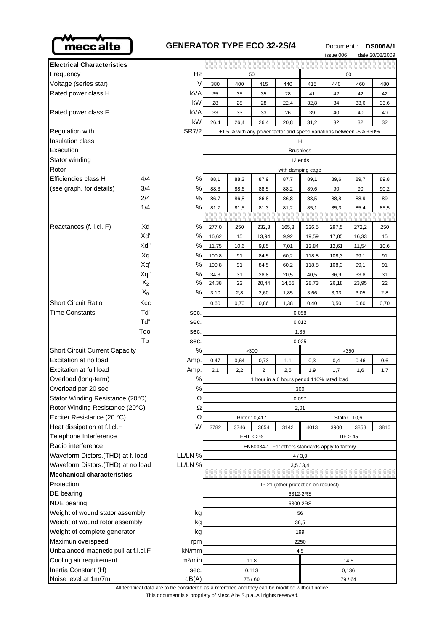

## **GENERATOR TYPE ECO 32-2S/4** Document: DS006A/1

issue 006 date 20/02/2009

|                                              |       |                                                  |                                                                    |      |                         |                                     |       | <b>ISSUE UUU</b> |              | uale zu/uz/zuub |
|----------------------------------------------|-------|--------------------------------------------------|--------------------------------------------------------------------|------|-------------------------|-------------------------------------|-------|------------------|--------------|-----------------|
| <b>Electrical Characteristics</b>            |       |                                                  |                                                                    |      |                         |                                     |       |                  |              |                 |
| Frequency                                    |       | Hz                                               | 50<br>60                                                           |      |                         |                                     |       |                  |              |                 |
| Voltage (series star)                        |       | V                                                | 380                                                                | 400  | 415                     | 440                                 | 415   | 440              | 460          | 480             |
| Rated power class H                          |       | kVA                                              | 35                                                                 | 35   | 35                      | 28                                  | 41    | 42               | 42           | 42              |
|                                              |       | kW                                               | 28                                                                 | 28   | 28                      | 22,4                                | 32,8  | 34               | 33,6         | 33,6            |
| Rated power class F                          |       | kVA                                              | 33                                                                 | 33   | 33                      | 26                                  | 39    | 40               | 40           | 40              |
|                                              |       | kW                                               | 26,4                                                               | 26,4 | 26,4                    | 20,8                                | 31,2  | 32               | 32           | 32              |
| <b>Regulation with</b>                       |       | <b>SR7/2</b>                                     | ±1,5 % with any power factor and speed variations between -5% +30% |      |                         |                                     |       |                  |              |                 |
| <b>Insulation class</b>                      |       | Н                                                |                                                                    |      |                         |                                     |       |                  |              |                 |
| Execution                                    |       |                                                  | <b>Brushless</b>                                                   |      |                         |                                     |       |                  |              |                 |
| Stator winding                               |       |                                                  | 12 ends                                                            |      |                         |                                     |       |                  |              |                 |
| Rotor                                        |       |                                                  | with damping cage                                                  |      |                         |                                     |       |                  |              |                 |
| Efficiencies class H                         | 4/4   | $\%$                                             | 88,1                                                               | 88,2 | 87,9                    | 87,7                                | 89,1  | 89,6             | 89,7         | 89,8            |
| (see graph. for details)                     | 3/4   | %                                                | 88,3                                                               | 88,6 | 88,5                    | 88,2                                | 89,6  | 90               | 90           | 90,2            |
|                                              | 2/4   | $\%$                                             | 86,7                                                               | 86,8 | 86,8                    | 86,8                                | 88,5  | 88,8             | 88,9         | 89              |
|                                              | 1/4   | %                                                | 81,7                                                               | 81,5 | 81,3                    | 81,2                                | 85,1  | 85,3             | 85,4         | 85,5            |
|                                              |       |                                                  |                                                                    |      |                         |                                     |       |                  |              |                 |
| Reactances (f. l.cl. F)                      | Xd    | %                                                | 277,0                                                              | 250  | 232,3                   | 165,3                               | 326,5 | 297,5            | 272,2        | 250             |
|                                              | Xď    | %                                                | 16,62                                                              | 15   | 13,94                   | 9,92                                | 19,59 | 17,85            | 16,33        | 15              |
|                                              | Xd"   | %                                                | 11,75                                                              | 10,6 | 9,85                    | 7,01                                | 13,84 | 12,61            | 11,54        | 10,6            |
|                                              | Xq    | $\%$                                             | 100,8                                                              | 91   | 84,5                    | 60,2                                | 118,8 | 108,3            | 99,1         | 91              |
|                                              | Xq'   | %                                                | 100,8                                                              | 91   | 84,5                    | 60,2                                | 118,8 | 108,3            | 99,1         | 91              |
|                                              | Xq"   | $\%$                                             | 34,3                                                               | 31   | 28,8                    | 20,5                                | 40,5  | 36,9             | 33,8         | 31              |
|                                              | $X_2$ | %                                                | 24,38                                                              | 22   | 20,44                   | 14,55                               | 28,73 | 26,18            | 23,95        | 22              |
|                                              | $X_0$ | %                                                | 3,10                                                               | 2,8  | 2,60                    | 1,85                                | 3,66  | 3,33             | 3,05         | 2,8             |
| <b>Short Circuit Ratio</b>                   | Kcc   |                                                  | 0,60                                                               | 0,70 | 0,86                    | 1,38                                | 0,40  | 0,50             | 0,60         | 0,70            |
| <b>Time Constants</b>                        | Tď    | sec.                                             | 0,058                                                              |      |                         |                                     |       |                  |              |                 |
|                                              | Td"   | sec.                                             | 0,012                                                              |      |                         |                                     |       |                  |              |                 |
|                                              | Tdo'  | sec.                                             | 1,35                                                               |      |                         |                                     |       |                  |              |                 |
| $T\alpha$                                    |       | sec.                                             | 0,025                                                              |      |                         |                                     |       |                  |              |                 |
| <b>Short Circuit Current Capacity</b>        |       | %                                                | >300<br>>350                                                       |      |                         |                                     |       |                  |              |                 |
| Excitation at no load                        |       | Amp.                                             | 0,47                                                               | 0,64 | 0,73                    | 1,1                                 | 0,3   | 0,4              | 0,46         | 0,6             |
| Excitation at full load                      |       | Amp.                                             | 2,1                                                                | 2,2  | $\overline{\mathbf{c}}$ | 2,5                                 | 1,9   | 1,7              | 1,6          | 1,7             |
| Overload (long-term)                         |       | ℅                                                | 1 hour in a 6 hours period 110% rated load                         |      |                         |                                     |       |                  |              |                 |
| Overload per 20 sec.                         |       | $\%$                                             | 300                                                                |      |                         |                                     |       |                  |              |                 |
| Stator Winding Resistance (20°C)             |       | Ω                                                | 0,097                                                              |      |                         |                                     |       |                  |              |                 |
| Rotor Winding Resistance (20°C)              |       | Ω                                                | 2,01                                                               |      |                         |                                     |       |                  |              |                 |
| Exciter Resistance (20 °C)                   |       | $\Omega$                                         |                                                                    |      | Rotor: 0,417            |                                     |       |                  | Stator: 10,6 |                 |
| Heat dissipation at f.l.cl.H                 |       | W                                                | 3782                                                               | 3746 | 3854                    | 3142                                | 4013  | 3900             | 3858         | 3816            |
| Telephone Interference                       |       |                                                  | $FHT < 2\%$<br>TIF > 45                                            |      |                         |                                     |       |                  |              |                 |
| Radio interference                           |       | EN60034-1. For others standards apply to factory |                                                                    |      |                         |                                     |       |                  |              |                 |
| Waveform Distors.(THD) at f. load<br>LL/LN % |       | 4/3,9                                            |                                                                    |      |                         |                                     |       |                  |              |                 |
| LL/LN %<br>Waveform Distors.(THD) at no load |       | 3,5/3,4                                          |                                                                    |      |                         |                                     |       |                  |              |                 |
| Mechanical characteristics                   |       |                                                  |                                                                    |      |                         |                                     |       |                  |              |                 |
| Protection                                   |       |                                                  |                                                                    |      |                         | IP 21 (other protection on request) |       |                  |              |                 |
| DE bearing                                   |       | 6312-2RS                                         |                                                                    |      |                         |                                     |       |                  |              |                 |
| NDE bearing                                  |       | 6309-2RS                                         |                                                                    |      |                         |                                     |       |                  |              |                 |
| Weight of wound stator assembly              |       | kg                                               | 56                                                                 |      |                         |                                     |       |                  |              |                 |
| Weight of wound rotor assembly               |       | kg                                               | 38,5                                                               |      |                         |                                     |       |                  |              |                 |
| Weight of complete generator                 |       | kg                                               | 199                                                                |      |                         |                                     |       |                  |              |                 |
| Maximun overspeed                            |       | rpm                                              | 2250                                                               |      |                         |                                     |       |                  |              |                 |
| Unbalanced magnetic pull at f.l.cl.F         |       | kN/mm                                            | 4,5                                                                |      |                         |                                     |       |                  |              |                 |
| Cooling air requirement                      |       | m <sup>3</sup> /min                              | 11,8                                                               |      |                         |                                     |       |                  | 14,5         |                 |
| Inertia Constant (H)                         |       | sec.                                             | 0,113                                                              |      |                         | 0,136                               |       |                  |              |                 |
| Noise level at 1m/7m                         |       | dB(A)                                            | 75/60                                                              |      |                         |                                     | 79/64 |                  |              |                 |

This document is a propriety of Mecc Alte S.p.a..All rights reserved. All technical data are to be considered as a reference and they can be modified without notice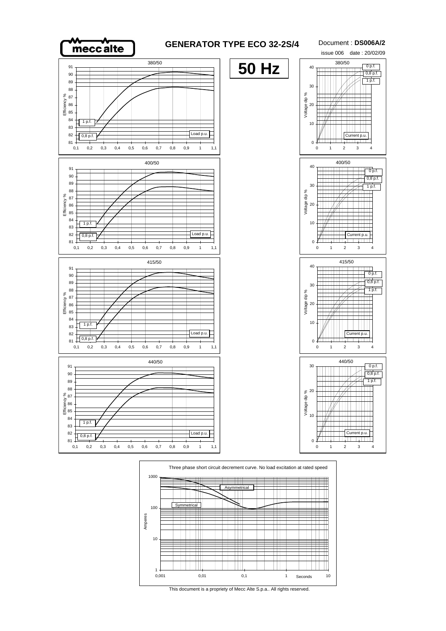



This document is a propriety of Mecc Alte S.p.a.. All rights reserved.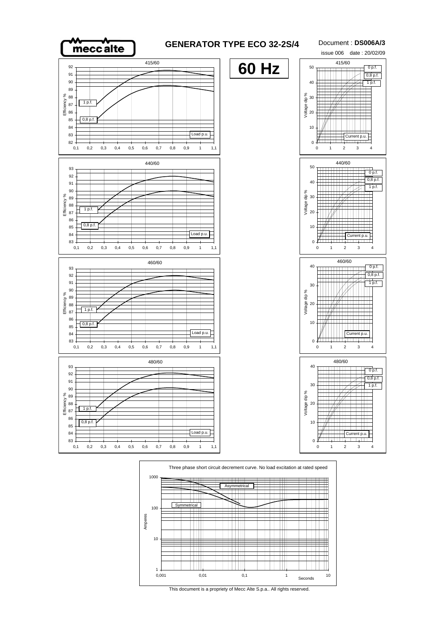

## **GENERATOR TYPE ECO 32-2S/4**

Document : **DS006A/3** issue 006 date : 20/02/09





This document is a propriety of Mecc Alte S.p.a.. All rights reserved.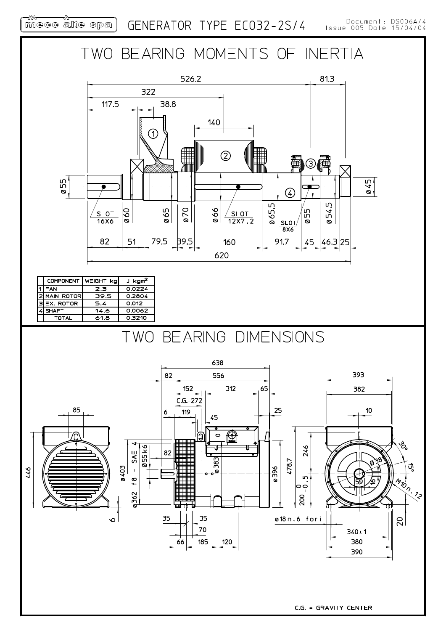